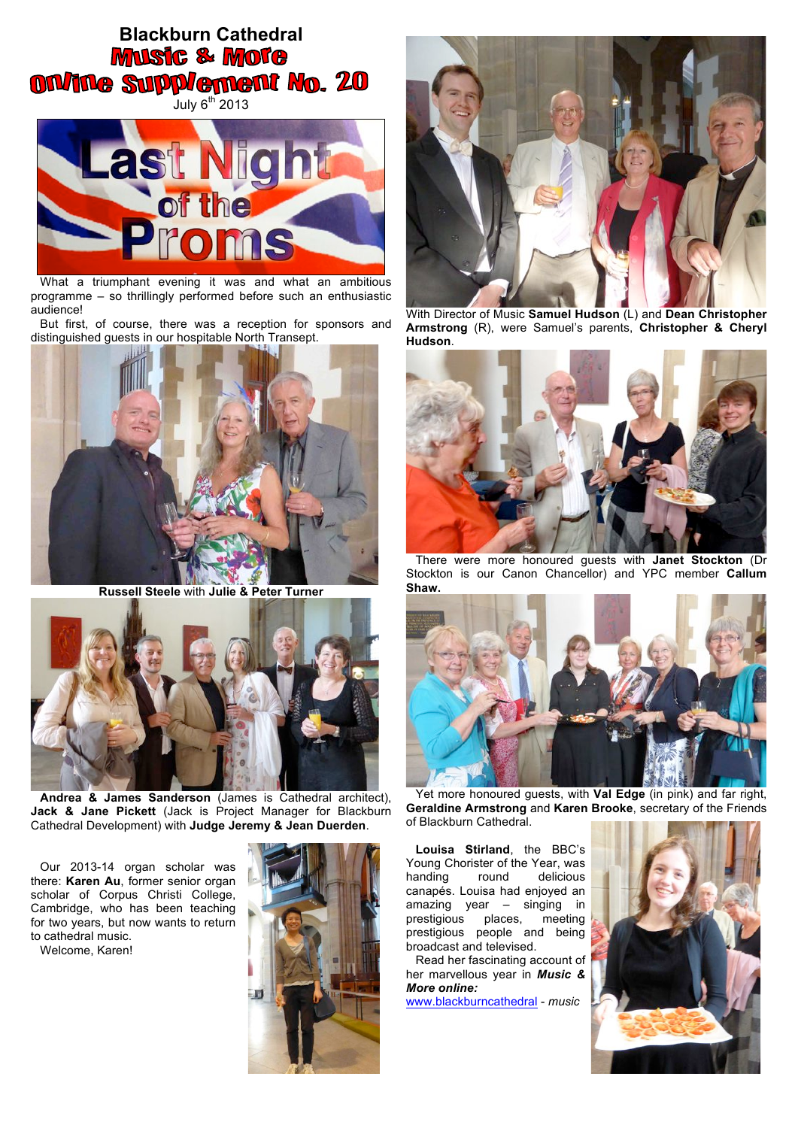## **Blackburn Cathedral MUSIC & MOTE ON/INe Supplement No. 20**





What a triumphant evening it was and what an ambitious programme – so thrillingly performed before such an enthusiastic audience!

But first, of course, there was a reception for sponsors and distinguished guests in our hospitable North Transept.



**Russell Steele** with **Julie & Peter Turner**



**Andrea & James Sanderson** (James is Cathedral architect), **Jack & Jane Pickett** (Jack is Project Manager for Blackburn Cathedral Development) with **Judge Jeremy & Jean Duerden**.

Our 2013-14 organ scholar was there: **Karen Au**, former senior organ scholar of Corpus Christi College, Cambridge, who has been teaching for two years, but now wants to return to cathedral music.

Welcome, Karen!





With Director of Music **Samuel Hudson** (L) and **Dean Christopher Armstrong** (R), were Samuel's parents, **Christopher & Cheryl Hudson**.



There were more honoured guests with **Janet Stockton** (Dr Stockton is our Canon Chancellor) and YPC member **Callum Shaw.**



Yet more honoured guests, with **Val Edge** (in pink) and far right, **Geraldine Armstrong** and **Karen Brooke**, secretary of the Friends of Blackburn Cathedral.

**Louisa Stirland**, the BBC's Young Chorister of the Year, was handing round delicious canapés. Louisa had enjoyed an amazing year – singing in prestigious places, meeting prestigious people and being broadcast and televised.

Read her fascinating account of her marvellous year in *Music & More online:* www.blackburncathedral - *music*

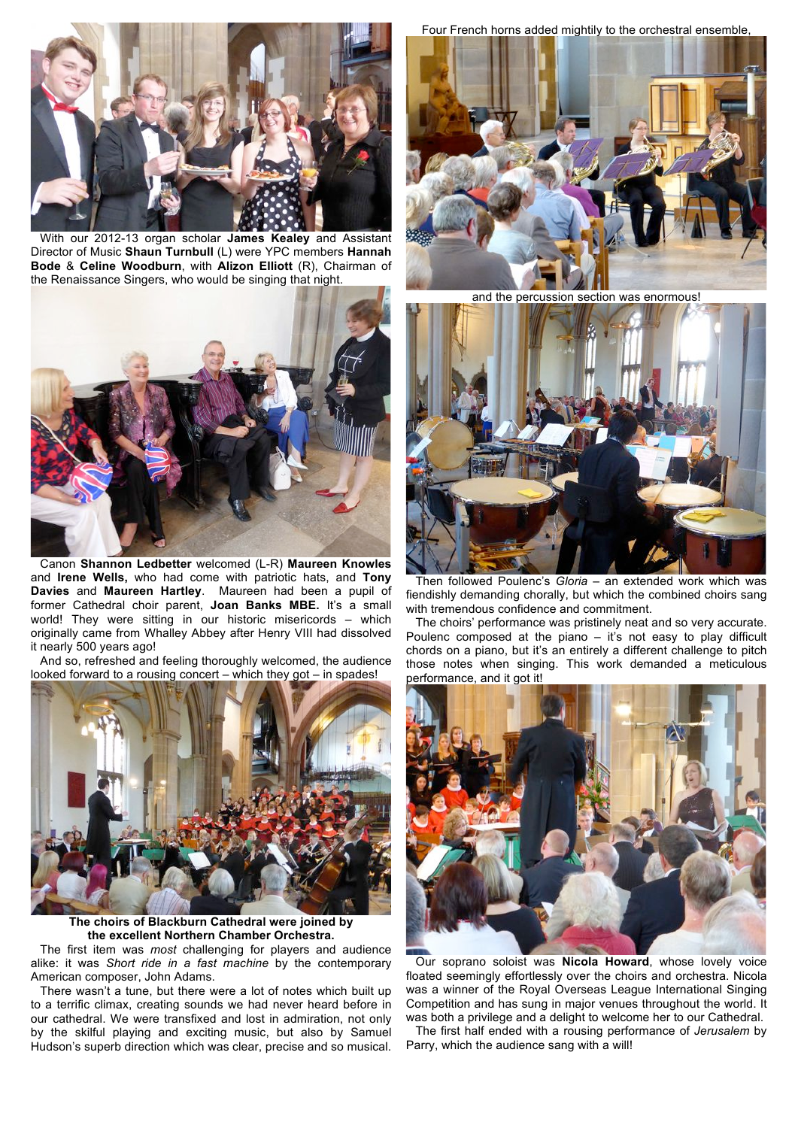

With our 2012-13 organ scholar **James Kealey** and Assistant Director of Music **Shaun Turnbull** (L) were YPC members **Hannah Bode** & **Celine Woodburn**, with **Alizon Elliott** (R), Chairman of the Renaissance Singers, who would be singing that night.



Canon **Shannon Ledbetter** welcomed (L-R) **Maureen Knowles** and **Irene Wells,** who had come with patriotic hats, and **Tony Davies** and **Maureen Hartley**. Maureen had been a pupil of former Cathedral choir parent, **Joan Banks MBE.** It's a small world! They were sitting in our historic misericords – which originally came from Whalley Abbey after Henry VIII had dissolved it nearly 500 years ago!

And so, refreshed and feeling thoroughly welcomed, the audience looked forward to a rousing concert – which they got – in spades!



**The choirs of Blackburn Cathedral were joined by the excellent Northern Chamber Orchestra.**

The first item was *most* challenging for players and audience alike: it was *Short ride in a fast machine* by the contemporary American composer, John Adams.

There wasn't a tune, but there were a lot of notes which built up to a terrific climax, creating sounds we had never heard before in our cathedral. We were transfixed and lost in admiration, not only by the skilful playing and exciting music, but also by Samuel Hudson's superb direction which was clear, precise and so musical.

Four French horns added mightily to the orchestral ensemble,



and the percussion section was enormous!



Then followed Poulenc's *Gloria –* an extended work which was fiendishly demanding chorally, but which the combined choirs sang with tremendous confidence and commitment.

The choirs' performance was pristinely neat and so very accurate. Poulenc composed at the piano – it's not easy to play difficult chords on a piano, but it's an entirely a different challenge to pitch those notes when singing. This work demanded a meticulous performance, and it got it!



Our soprano soloist was **Nicola Howard**, whose lovely voice floated seemingly effortlessly over the choirs and orchestra. Nicola was a winner of the Royal Overseas League International Singing Competition and has sung in major venues throughout the world. It was both a privilege and a delight to welcome her to our Cathedral.

The first half ended with a rousing performance of *Jerusalem* by Parry, which the audience sang with a will!